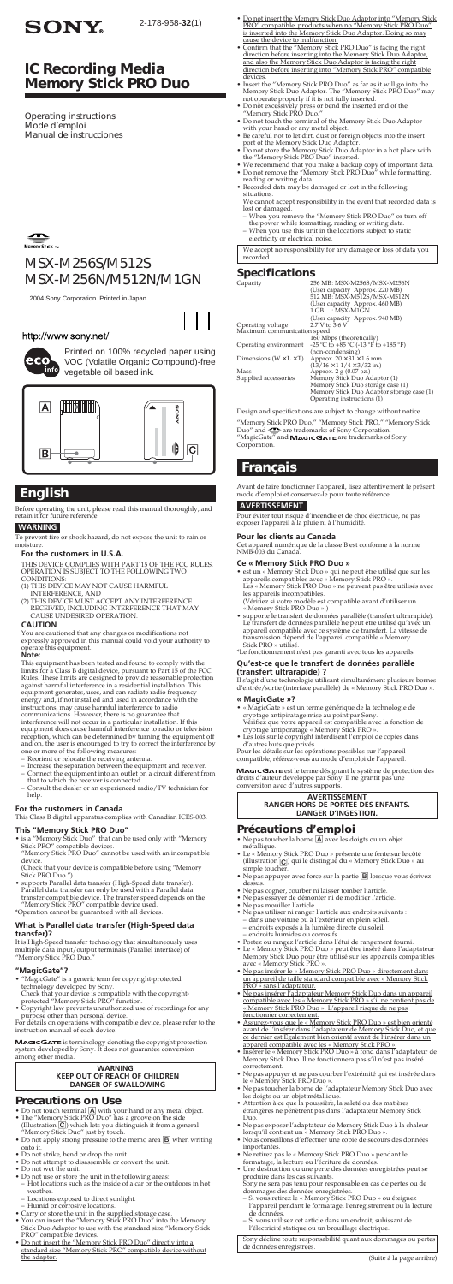# *MSX-M256S/M512S MSX-M256N/M512N/M1GN*

2004 Sony Corporation Printed in Japan

### http://www.sony.net/



# *IC Recording Media Memory Stick PRO Duo*

Printed on 100% recycled paper using VOC (Volatile Organic Compound)-free vegetable oil based ink.



# **English**

Before operating the unit, please read this manual thoroughly, and retain it for future reference.

**WARNING**

To prevent fire or shock hazard, do not expose the unit to rain or moisture.

### **For the customers in U.S.A.**

THIS DEVICE COMPLIES WITH PART 15 OF THE FCC RULES.<br>OPERATION IS SUBJECT TO THE FOLLOWING TWO<br>CONDITIONS:<br>(2) THIS DEVICE MAY NOT CAUSE HARMFUL<br>INTERFERENCE, AND<br>COTHIS DEVICE MUST ACCEPT ANY INTERFERENCE<br>PECELVED, INCLUDI

CAUSE UNDESIRED OPERATION.

**CAUTION** You are cautioned that any changes or modifications not expressly approved in this manual could void your authority to operate this equipment. **Note:**

This equipment has been tested and found to comply with the<br>limits for a Class B digital device, pursuant to Part 15 of the FCC<br>Rules. These limits are designed to provide reasonable protection<br>against harmful interference

- 
- 
- Consult the dealer or an experienced radio/TV technician for help.

- "MagicGate" is a generic term for copyright-protected technology developed by Sony.
- Check that your device is compatible with the copyright-<br>protected "Memory Stick PRO" function.<br>• Copyright law prevents unauthorized use of recordings for any<br>urpose other than personal device.<br>For details on operations w

#### **For the customers in Canada**

This Class B digital apparatus complies with Canadian ICES-003.

**This "Memory Stick PRO Duo"**<br>• is a "Memory Stick Duo" that can be used only with "Memory Stick PRO" compatible devices.<br>"Memory Stick PRO Duo" cannot be used with an incompatible

- device.
- (Check that your device is compatible before using "Memory Stick PRO Duo.") supports Parallel data transfer (High-Speed data transfer). Parallel data transfer can only be used with a Parallel data
- transfer compatible device. The transfer speed depends on the "Memory Stick PRO" compatible device used. \*Operation cannot be guaranteed with all devices.

#### **What is Parallel data transfer (High-Speed data transfer)?**

It is High-Speed transfer technology that simultaneously uses multiple data input/output terminals (Parallel interface) of "Memory Stick PRO Duo."

#### **"MagicGate"?**

instruction manual of each device.

MAGICGATE is terminology denoting the copyright protection<br>system developed by Sony. It does not guarantee conversion<br>among other media.

#### **WARNING KEEP OUT OF REACH OF CHILDREN DANGER OF SWALLOWING**

"Memory Stick PRO Duo," "Memory Stick PRO," "Memory Stick<br>Duo″ and <del>⊆∑</del> are trademarks of Sony Corporation.<br>"MagicGate″ and **M∡Gi⊂G∧⊤E** are trademarks of Sony Corporation.

### **Precautions on Use**

- 
- Do not touch terminal  $\boxed{\mathbf{A}}$  with your hand or any metal object.<br>
 The "Memory Stick PRO Duo" has a groove on the side (Illustration  $\boxed{\mathbf{C}}$ ) which lets you distinguish it from a general "Memory Stick Duo" just
- Do not apply strong pressure to the memo area  $\boxed{\mathbf{B}}$  when writing
- onto it. Do not strike, bend or drop the unit.
- Do not attempt to disassemble or convert the unit. Do not wet the unit.
- 
- 
- Do not use or store the unit in the following areas: Hot locations such as the inside of a car or the outdoors in hot weather.
	-
	-
- Locations exposed to direct sunlight. Humid or corrosive locations. Carry or store the unit in the supplied storage case.
- You can insert the "Memory Stick PRO Duo" into the Memory<br>
Stick Duo Adaptor to use with the standard size "Memory Stick<br>
PRO" compatible devices.<br>
 <u>Do not insert the "Memory Stick PRO Duo" directly into a</u>
- standard size "Memory Stick PRO" compatible device without the adaptor.
- Do not insert the Memory Stick Duo Adaptor into "Memory Stick PRO" compatible products when no "Memory Stick PRO Duo" is inserted into the Memory Stick Duo Adaptor. Doing so may
- cause the device to malfunction. Confirm that the "Memory Stick PRO Duo" is facing the right direction before inserting into the Memory Stick Duo Adaptor, and also the Memory Stick Duo Adaptor is facing the right direction before inserting into "Memory Stick PRO" compatible
- devices.<br>
Insert the "Memory Stick PRO Duo" as far as it will go into the<br>
Insert the "Memory Stick Duo Adaptor. The "Memory Stick PRO Duo" may<br>
not operate properly if it is not fully inserted.<br>
<br>
 Do not excessively pre
- 
- 
- 
- Do not touch the terminal of the Memory Stick Duo Adaptor<br>with your hand or any metal object.<br>
 Be careful not to let dirt, dust or foreign objects into the insert<br>
 Do not store the Memory Stick Duo Adaptor.<br>
 Do no
- 
- 
- reading or writing data. Recorded data may be damaged or lost in the following situations.
	-
- We cannot accept responsibility in the event that recorded data is<br>- When you remove the "Memory Stick PRO Duo" or turn off<br>- When you remove the "Memory Stick PRO Duo" or turn off<br>- the power while formatting, reading or
- electricity or electrical noise.

- **Expression Action Control State Property Oriented State State State State PRO » sans l'adaptateur.**<br>PRO » sans l'adaptateur.
- <u>• 1112 2012 2012 partema</u><br>Ne pas insérer l'adaptateur Memory Stick Duo dans un appareil compatible avec les « Memory Stick PRO » s'il ne contient pas de « Memory Stick PRO Duo ». L'appareil risque de ne pas fonctionner correctement.
- Assurez-vous que le « Memory Stick PRO Duo » est bien orienté avant de l'insérer dans l'adaptateur de Memory Stick Duo, et que<br>ce dernier est Également bien orienté avant de l'insérer dans un<br>appareil compatible avec les « Memory Stick PRO ».<br>• Insérer le « Memory Stick PRO Duo » à f
- Memory Stick Duo. Il ne fonctionnera pas s'il n'est pas inséré
- 
- 
- correctement.<br>
 Ne pas appuyer et ne pas courber l'extrémité qui est insérée dans<br>
 le « Memory Stick PRO Duo ».<br>
 Ne pas toucher la borne de l'adaptateur Memory Stick Duo avec<br>
es doigts ou un objet métallique.<br>
 Atte
- Ne pas exposer l'adaptateur de Memory Stick Duo à la chaleur lorsqu'il contient un « Memory Stick PRO Duo ». Nous conseillons d'effectuer une copie de secours des données
- 
- importantes. Ne retirez pas le « Memory Stick PRO Duo » pendant le formatage, la lecture ou l'écriture de données.
- Une destruction ou une perte des données enregistrées peut se produire dans les cas suivants. Sony ne sera pas tenu pour responsable en cas de pertes ou de

Sony décline toute responsabilité quant aux dommages ou pertes de données enregistré

We accept no responsibility for any damage or loss of data you recorded.

### **Specifications**

| ---------------                      |                                                                                                                                                     |
|--------------------------------------|-----------------------------------------------------------------------------------------------------------------------------------------------------|
| Capacity                             | 256 MB: MSX-M256S/MSX-M256N<br>(User capacity Approx. 220 MB)<br>512 MB: MSX-M512S/MSX-M512N<br>(User capacity Approx. 460 MB)<br>$1$ GB : MSX-M1GN |
|                                      | (User capacity Approx. 940 MB)                                                                                                                      |
| Operating voltage                    | $2.7$ V to $3.6$ V                                                                                                                                  |
| Maximum communication speed          |                                                                                                                                                     |
|                                      | 160 Mbps (theoretically)                                                                                                                            |
| Operating environment                | $-25$ °C to $+85$ °C ( $-13$ °F to $+185$ °F)                                                                                                       |
|                                      | (non-condensing)                                                                                                                                    |
| Dimensions ( $W \times L \times T$ ) | Approx. $20 \times 31 \times 1.6$ mm                                                                                                                |
|                                      | $(13/16 \times 11/4 \times 3/32)$ in.)                                                                                                              |
| Mass                                 | Approx. 2 g (0.07 oz.)                                                                                                                              |
| Supplied accessories                 | Memory Stick Duo Adaptor (1)                                                                                                                        |
|                                      | Memory Stick Duo storage case (1)                                                                                                                   |
|                                      | Memory Stick Duo Adaptor storage case (1)                                                                                                           |
|                                      |                                                                                                                                                     |
|                                      | Operating instructions (1)                                                                                                                          |
|                                      |                                                                                                                                                     |

Design and specifications are subject to change without notice.

# **Français**

Avant de faire fonctionner l'appareil, lisez attentivement le présent mode d'emploi et conservez-le pour toute référence.

### **AVERTISSEMENT**

Pour éviter tout risque d'incendie et de choc électrique, ne pas exposer l'appareil à la pluie ni à l'humidité.

#### **Pour les clients au Canada**

Cet appareil numérique de la classe B est conforme à la norme NMB-003 du Canada.

- **Ce « Memory Stick PRO Duo »**<br>
 est un « Memory Stick Duo » qui ne peut être utilisé que sur les<br> **apareils compatibles avec « Memory Stick PRO ».**<br>
Les « Memory Stick PRO Duo » ne peuvent pas être utilisés avec<br>
les app
- 
- supporte le transfert de données parallèle (transfert ultrarapide).<br>Le transfert de données parallèle ne peut être utilisé qu'avec un appareil compatible avec ce système de transfert. La vitesse de transmission dépend d

\*Le fonctionnement n'est pas garanti avec tous les appareils.

### **Qu'est-ce que le transfert de données parallèle**

**(transfert ultrarapide) ?** Il s'agit d'une technologie utilisant simultanément plusieurs bornes d'entrée/sortie (interface parallèle) de « Memory Stick PRO Duo ».

- **« MagicGate »?**<br>
 « MagicGate » est un terme générique de la technologie de » exaggicGate » est un terme générique de la fonction de cyptage antiporatage « Memory Stick PRO ».<br>
Vérifiez que votre appareil est compatible
- 
- 

M**AGICGATE** est le terme désignant le système de protection des<br>droits d'auteur développé par Sony. Il ne grantit pas une<br>conversiton avec d'autres supports.

#### **AVERTISSEMENT RANGER HORS DE PORTEE DES ENFANTS. DANGER D'INGESTION.**

### **Précautions d'emploi**

- 
- Ne pas toucher la borne  $\boxed{\underline{\mathbf{A}}}$  avec les doigts ou un objet<br>
 Le « Memory Stick PRO Duo » présente une fente sur le côté (illustration  $\boxed{\underline{\mathbf{G}}}$ ) qui le distingue du « Memory Stick Duo » au simple toucher.
- $\bullet$  Ne pas appuyer avec force sur la partie  $\boxed{\mathbf{B}}$  lorsque vous écrivez dessus.
- 
- 
- 
- Ne pas cogner, courber ni laisser tomber l'article.<br>
 Ne pas essayer de démonter ni de modifier l'article.<br>
 Ne pas mouiller l'article.<br>
 Ne pas utiliser ni ranger l'article aux endroits suivants :<br>
 dans une voitur
- 
- 

- dommages des données enregistrées. Si vous retirez le « Memory Stick PRO Duo » ou éteignez l'appareil pendant le formatage, l'enregistrement ou la lecture de données.
- Si vous utilisez cet article dans un endroit, subissant de l'électricité statique ou un brouillage électrique.

(Suite á la page arrière)

Operating instructions Mode d'emploi Manual de instrucciones